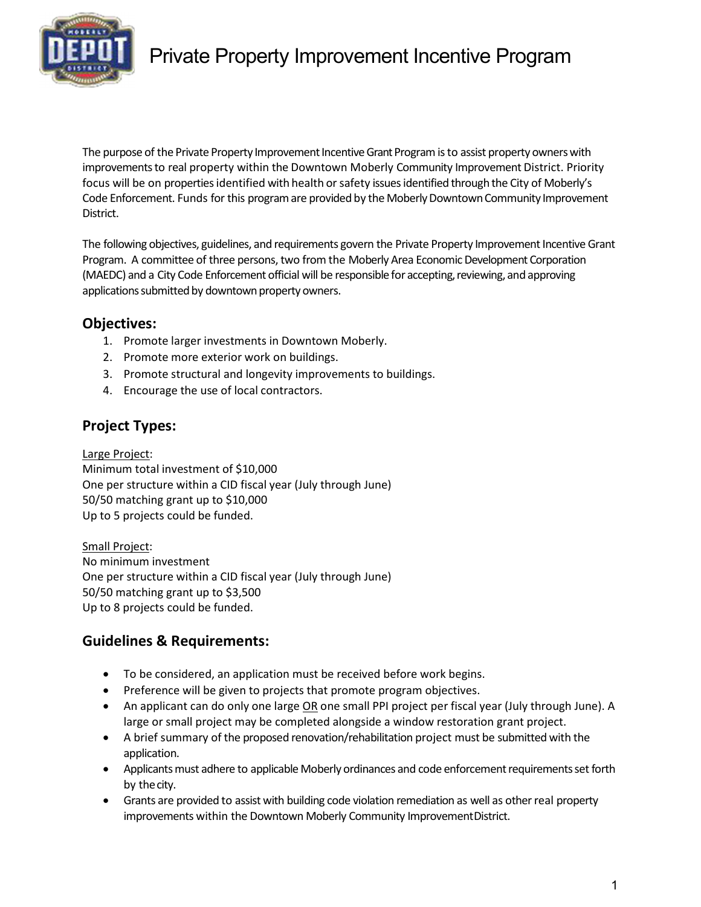

# Private Property Improvement Incentive Program

The purpose of the Private Property Improvement Incentive Grant Program is to assist property owners with improvements to real property within the Downtown Moberly Community Improvement District. Priority focus will be on properties identified with health or safety issues identified through the City of Moberly's Code Enforcement. Funds for this program are provided by the Moberly Downtown Community Improvement District.

The following objectives, guidelines, and requirements govern the Private Property Improvement Incentive Grant Program. A committee of three persons, two from the Moberly Area Economic Development Corporation (MAEDC) and a City Code Enforcement official will be responsible for accepting, reviewing, and approving applications submitted by downtown property owners.

#### Objectives:

- 1. Promote larger investments in Downtown Moberly.
- 2. Promote more exterior work on buildings.
- 3. Promote structural and longevity improvements to buildings.
- 4. Encourage the use of local contractors.

#### Project Types:

#### Large Project:

Minimum total investment of \$10,000 One per structure within a CID fiscal year (July through June) 50/50 matching grant up to \$10,000 Up to 5 projects could be funded.

Small Project: No minimum investment One per structure within a CID fiscal year (July through June) 50/50 matching grant up to \$3,500 Up to 8 projects could be funded.

### Guidelines & Requirements:

- To be considered, an application must be received before work begins.
- Preference will be given to projects that promote program objectives.
- An applicant can do only one large OR one small PPI project per fiscal year (July through June). A large or small project may be completed alongside a window restoration grant project.
- A brief summary of the proposed renovation/rehabilitation project must be submitted with the application.
- Applicants must adhere to applicable Moberly ordinances and code enforcement requirements set forth by the city.
- Grants are provided to assist with building code violation remediation as well as other real property improvements within the Downtown Moberly Community Improvement District.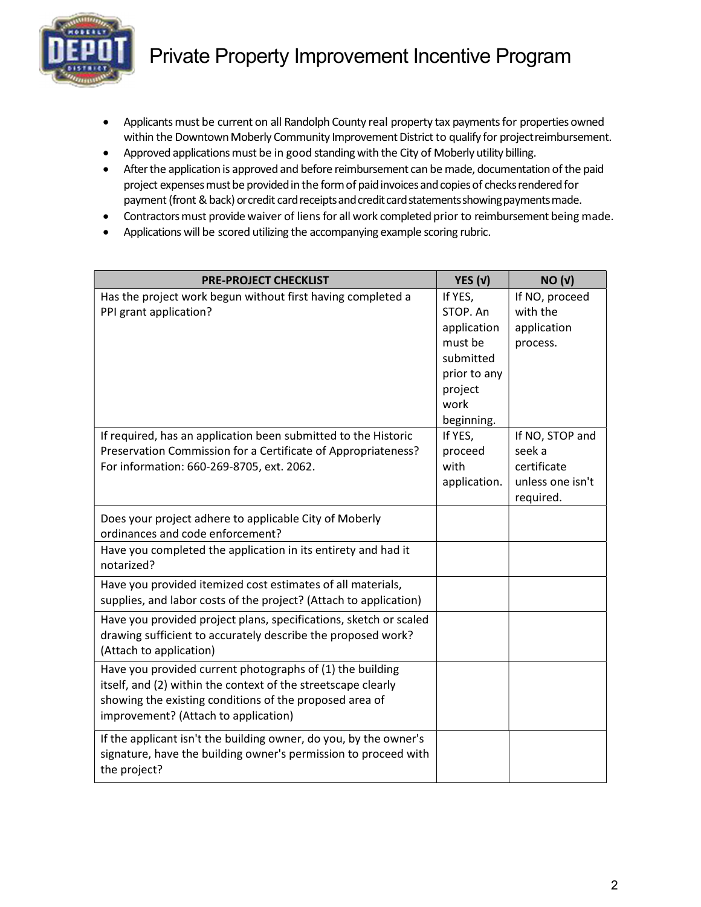

- Applicants must be current on all Randolph County real property tax payments for properties owned within the Downtown Moberly Community Improvement District to qualify for project reimbursement.
- Approved applications must be in good standing with the City of Moberly utility billing.
- After the application is approved and before reimbursement can be made, documentation of the paid project expenses must be provided in the form of paid invoices and copies of checks rendered for payment (front & back) or credit card receipts and credit card statements showing payments made.
- Contractors must provide waiver of liens for all work completed prior to reimbursement being made.
- Applications will be scored utilizing the accompanying example scoring rubric.

| <b>PRE-PROJECT CHECKLIST</b>                                      | YES $(v)$       | NO <sub>(V)</sub>               |
|-------------------------------------------------------------------|-----------------|---------------------------------|
| Has the project work begun without first having completed a       | If YES,         | If NO, proceed                  |
| PPI grant application?                                            | STOP. An        | with the                        |
|                                                                   | application     | application                     |
|                                                                   | must be         | process.                        |
|                                                                   | submitted       |                                 |
|                                                                   | prior to any    |                                 |
|                                                                   | project         |                                 |
|                                                                   | work            |                                 |
|                                                                   | beginning.      |                                 |
| If required, has an application been submitted to the Historic    | If YES,         | If NO, STOP and                 |
| Preservation Commission for a Certificate of Appropriateness?     | proceed<br>with | seek a                          |
| For information: 660-269-8705, ext. 2062.                         |                 | certificate<br>unless one isn't |
|                                                                   | application.    | required.                       |
|                                                                   |                 |                                 |
| Does your project adhere to applicable City of Moberly            |                 |                                 |
| ordinances and code enforcement?                                  |                 |                                 |
| Have you completed the application in its entirety and had it     |                 |                                 |
| notarized?                                                        |                 |                                 |
| Have you provided itemized cost estimates of all materials,       |                 |                                 |
| supplies, and labor costs of the project? (Attach to application) |                 |                                 |
| Have you provided project plans, specifications, sketch or scaled |                 |                                 |
| drawing sufficient to accurately describe the proposed work?      |                 |                                 |
| (Attach to application)                                           |                 |                                 |
| Have you provided current photographs of (1) the building         |                 |                                 |
| itself, and (2) within the context of the streetscape clearly     |                 |                                 |
| showing the existing conditions of the proposed area of           |                 |                                 |
| improvement? (Attach to application)                              |                 |                                 |
| If the applicant isn't the building owner, do you, by the owner's |                 |                                 |
| signature, have the building owner's permission to proceed with   |                 |                                 |
| the project?                                                      |                 |                                 |
|                                                                   |                 |                                 |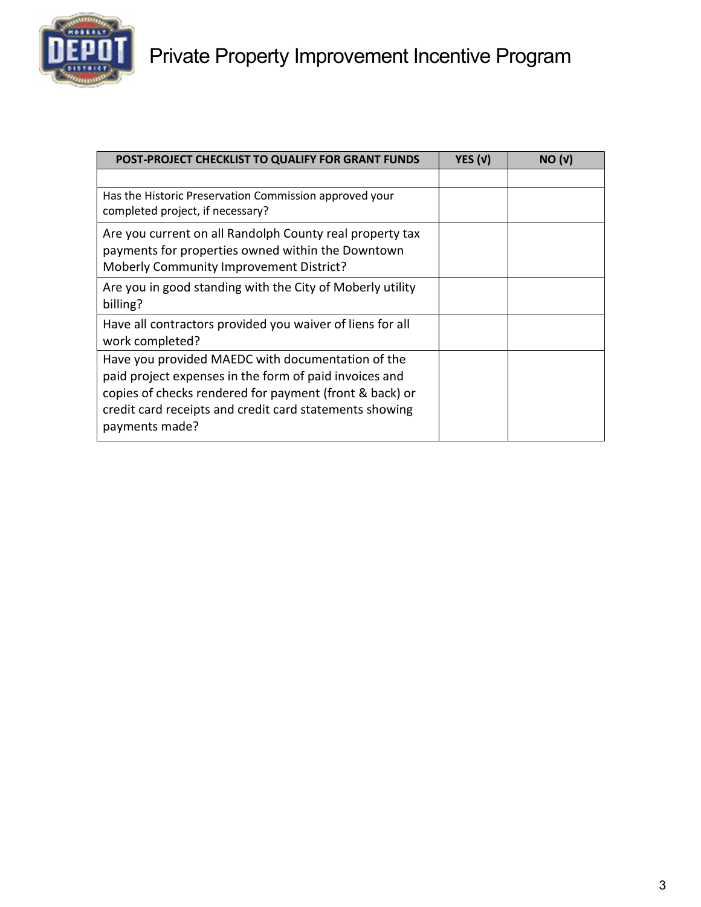

| POST-PROJECT CHECKLIST TO QUALIFY FOR GRANT FUNDS                                                                                                                                                                                                   | YES $(v)$ | NO <sub>(V)</sub> |
|-----------------------------------------------------------------------------------------------------------------------------------------------------------------------------------------------------------------------------------------------------|-----------|-------------------|
|                                                                                                                                                                                                                                                     |           |                   |
| Has the Historic Preservation Commission approved your<br>completed project, if necessary?                                                                                                                                                          |           |                   |
| Are you current on all Randolph County real property tax<br>payments for properties owned within the Downtown<br>Moberly Community Improvement District?                                                                                            |           |                   |
| Are you in good standing with the City of Moberly utility<br>billing?                                                                                                                                                                               |           |                   |
| Have all contractors provided you waiver of liens for all<br>work completed?                                                                                                                                                                        |           |                   |
| Have you provided MAEDC with documentation of the<br>paid project expenses in the form of paid invoices and<br>copies of checks rendered for payment (front & back) or<br>credit card receipts and credit card statements showing<br>payments made? |           |                   |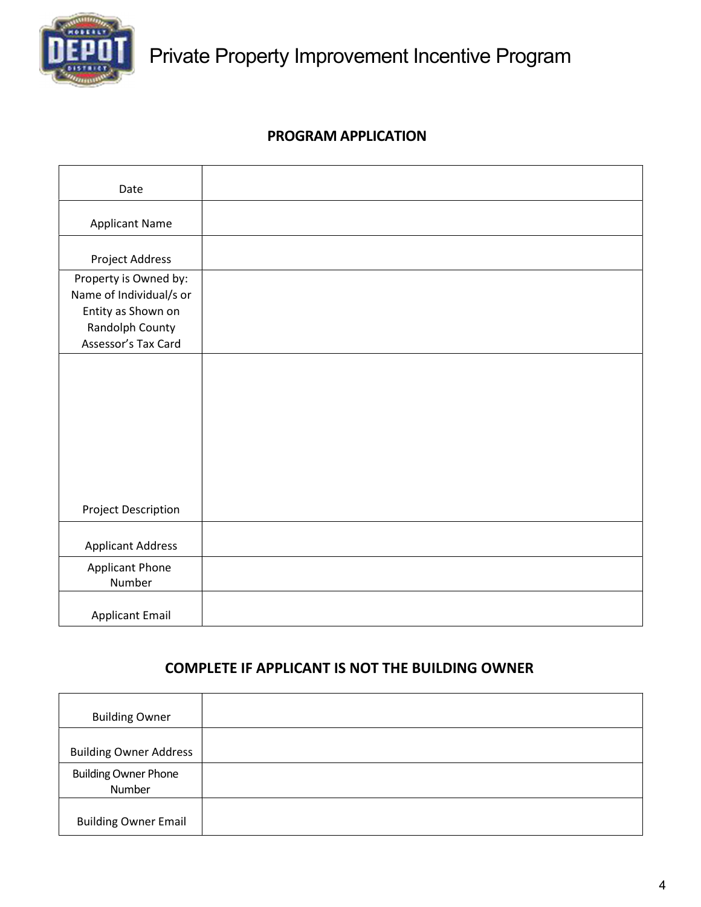

## PROGRAM APPLICATION

| Date                                             |  |
|--------------------------------------------------|--|
| <b>Applicant Name</b>                            |  |
| Project Address                                  |  |
| Property is Owned by:<br>Name of Individual/s or |  |
| Entity as Shown on                               |  |
| Randolph County<br>Assessor's Tax Card           |  |
|                                                  |  |
|                                                  |  |
|                                                  |  |
|                                                  |  |
|                                                  |  |
| <b>Project Description</b>                       |  |
| <b>Applicant Address</b>                         |  |
| <b>Applicant Phone</b><br>Number                 |  |
| <b>Applicant Email</b>                           |  |

# COMPLETE IF APPLICANT IS NOT THE BUILDING OWNER

| <b>Building Owner</b>                 |  |
|---------------------------------------|--|
| <b>Building Owner Address</b>         |  |
| <b>Building Owner Phone</b><br>Number |  |
| <b>Building Owner Email</b>           |  |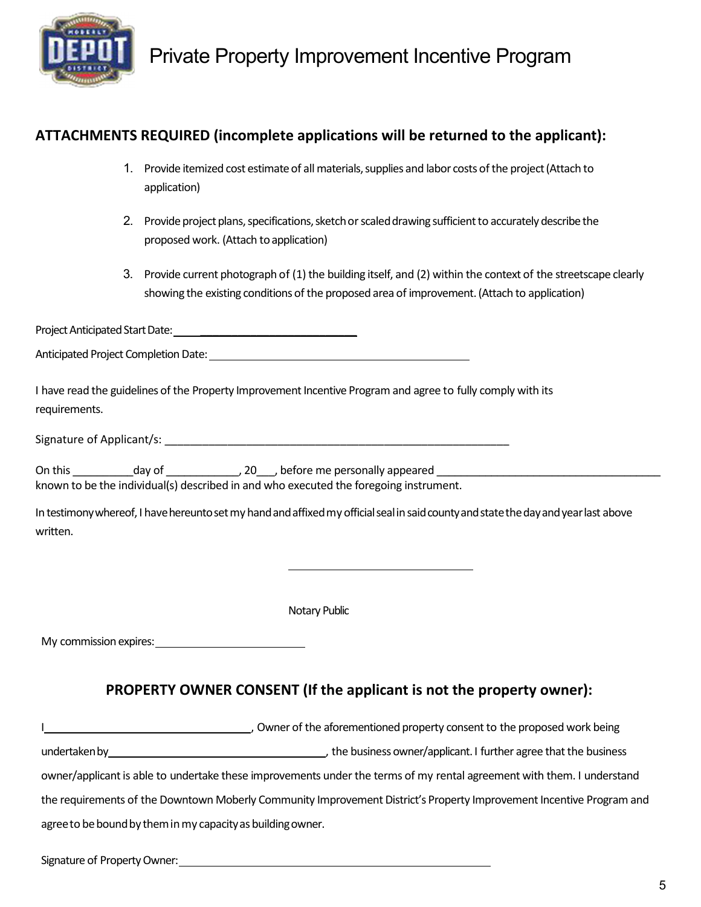

# ATTACHMENTS REQUIRED (incomplete applications will be returned to the applicant):

- 1. Provide itemized cost estimate of all materials, supplies and labor costs of the project (Attach to application)
- 2. Provide project plans, specifications, sketch or scaled drawing sufficient to accurately describe the proposed work. (Attach to application)
- 3. Provide current photograph of (1) the building itself, and (2) within the context of the streetscape clearly showing the existing conditions of the proposed area of improvement. (Attach to application)

Project Anticipated Start Date: \_\_\_\_\_\_\_\_\_\_\_\_\_\_\_\_\_\_\_\_\_\_\_\_\_

Anticipated Project Completion Date:

I have read the guidelines of the Property Improvement Incentive Program and agree to fully comply with its requirements.

Signature of Applicant/s: \_\_\_\_\_\_\_\_\_\_\_\_\_\_\_\_\_\_\_\_\_\_\_\_\_\_\_\_\_\_\_\_\_\_\_\_\_\_\_\_\_\_\_\_\_\_\_\_\_\_\_\_\_\_\_

On this \_\_\_\_\_\_\_\_\_\_\_day of \_\_\_\_\_\_\_\_\_\_\_\_\_\_, 20\_\_\_, before me personally appeared \_\_\_\_\_\_\_\_\_\_\_\_\_\_\_\_\_\_\_\_ known to be the individual(s) described in and who executed the foregoing instrument.

In testimony whereof, I have hereunto set my hand and affixed my official seal in said county and state the day and year last above written.

Notary Public

My commission expires:

### PROPERTY OWNER CONSENT (If the applicant is not the property owner):

|                                                                                                                      | Owner of the aforementioned property consent to the proposed work being                                                |  |
|----------------------------------------------------------------------------------------------------------------------|------------------------------------------------------------------------------------------------------------------------|--|
| undertaken by                                                                                                        | the business owner/applicant. I further agree that the business                                                        |  |
|                                                                                                                      | owner/applicant is able to undertake these improvements under the terms of my rental agreement with them. I understand |  |
| the requirements of the Downtown Moberly Community Improvement District's Property Improvement Incentive Program and |                                                                                                                        |  |
| agree to be bound by them in my capacity as building owner.                                                          |                                                                                                                        |  |

Signature of Property Owner: